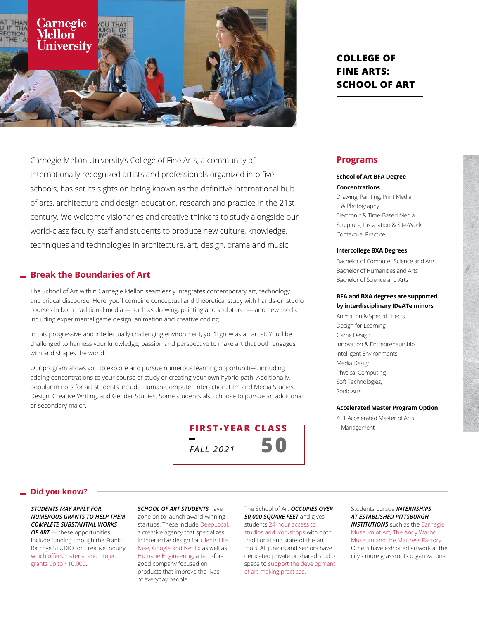

Carnegie Mellon University's College of Fine Arts, a community of internationally recognized artists and professionals organized into five schools, has set its sights on being known as the definitive international hub of arts, architecture and design education, research and practice in the 21st century. We welcome visionaries and creative thinkers to study alongside our world-class faculty, staff and students to produce new culture, knowledge, techniques and technologies in architecture, art, design, drama and music.

### **Break the Boundaries of Art**

The School of Art within Carnegie Mellon seamlessly integrates contemporary art, technology and critical discourse. Here, you'll combine conceptual and theoretical study with hands-on studio courses in both traditional media — such as drawing, painting and sculpture — and new media including experimental game design, animation and creative coding.

In this progressive and intellectually challenging environment, you'll grow as an artist. You'll be challenged to harness your knowledge, passion and perspective to make art that both engages with and shapes the world.

Our program allows you to explore and pursue numerous learning opportunities, including adding concentrations to your course of study or creating your own hybrid path. Additionally, popular minors for art students include Human-Computer Interaction, Film and Media Studies, Design, Creative Writing, and Gender Studies. Some students also choose to pursue an additional or secondary major.



# **COLLEGE OF FINE ARTS: SCHOOL OF ART**

## **Programs**

## **School of Art BFA Degree**

**Concentrations**

Drawing, Painting, Print Media & Photography Electronic & Time-Based Media Sculpture, Installation & Site-Work Contextual Practice

#### **Intercollege BXA Degrees**

Bachelor of Computer Science and Arts Bachelor of Humanities and Arts Bachelor of Science and Arts

#### **BFA and BXA degrees are supported by interdisciplinary IDeATe minors**

Animation & Special Effects Design for Learning Game Design Innovation & Entrepreneurship Intelligent Environments Media Design Physical Computing Soft Technologies, Sonic Arts

#### **Accelerated Master Program Option**

4+1 Accelerated Master of Arts Management

#### **Did you know?**

*STUDENTS MAY APPLY FOR NUMEROUS GRANTS TO HELP THEM COMPLETE SUBSTANTIAL WORKS OF ART* — these opportunities

include funding through the Frank-Ratchye STUDIO for Creative Inquiry, which offers material and project grants up to \$10,000.

*SCHOOL OF ART STUDENTS* have gone on to launch award-winning startups. These include DeepLocal, a creative agency that specializes in interactive design for clients like Nike, Google and Netflix as well as Humane Engineering, a tech-forgood company focused on products that improve the lives of everyday people.

The School of Art *OCCUPIES OVER 50,000 SQUARE FEET* and gives students 24-hour access to studios and workshops with both traditional and state-of-the-art tools. All juniors and seniors have dedicated private or shared studio space to support the development of art-making practices.

Students pursue *INTERNSHIPS AT ESTABLISHED PITTSBURGH INSTITUTIONS* such as the Carnegie Museum of Art, The Andy Warhol Museum and the Mattress Factory. Others have exhibited artwork at the city's more grassroots organizations.